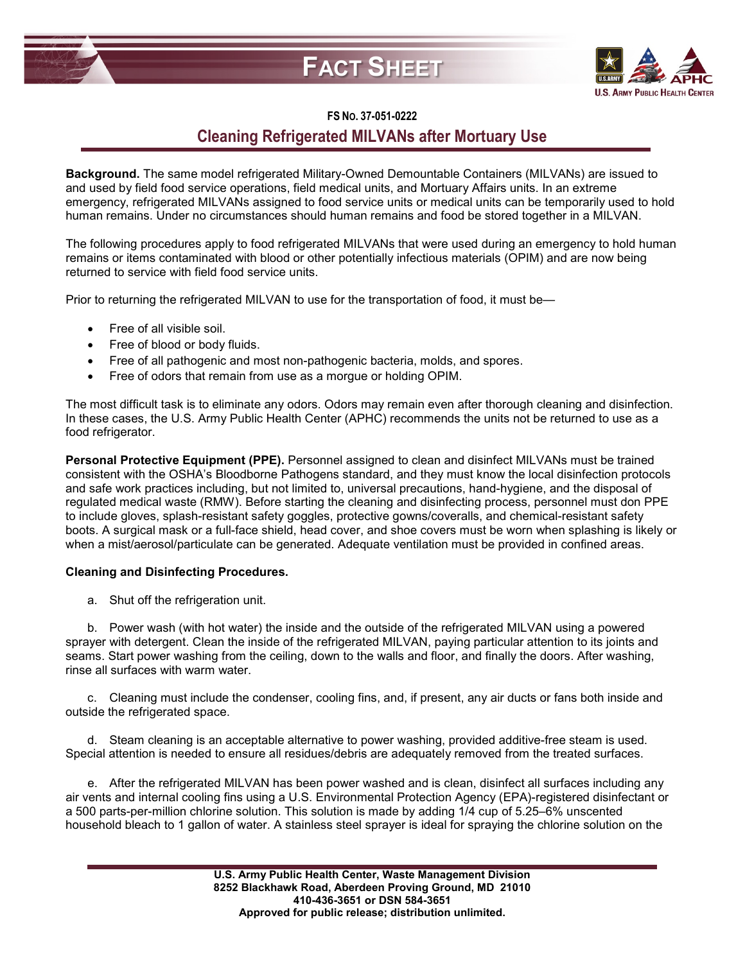## **FACT SHEET**



## **FS NO. 37-051-0222**

## **Cleaning Refrigerated MILVANs after Mortuary Use**

**Background.** The same model refrigerated Military-Owned Demountable Containers (MILVANs) are issued to and used by field food service operations, field medical units, and Mortuary Affairs units. In an extreme emergency, refrigerated MILVANs assigned to food service units or medical units can be temporarily used to hold human remains. Under no circumstances should human remains and food be stored together in a MILVAN.

The following procedures apply to food refrigerated MILVANs that were used during an emergency to hold human remains or items contaminated with blood or other potentially infectious materials (OPIM) and are now being returned to service with field food service units.

Prior to returning the refrigerated MILVAN to use for the transportation of food, it must be—

- Free of all visible soil.
- Free of blood or body fluids.
- Free of all pathogenic and most non-pathogenic bacteria, molds, and spores.
- Free of odors that remain from use as a morgue or holding OPIM.

The most difficult task is to eliminate any odors. Odors may remain even after thorough cleaning and disinfection. In these cases, the U.S. Army Public Health Center (APHC) recommends the units not be returned to use as a food refrigerator.

**Personal Protective Equipment (PPE).** Personnel assigned to clean and disinfect MILVANs must be trained consistent with the OSHA's Bloodborne Pathogens standard, and they must know the local disinfection protocols and safe work practices including, but not limited to, universal precautions, hand-hygiene, and the disposal of regulated medical waste (RMW). Before starting the cleaning and disinfecting process, personnel must don PPE to include gloves, splash-resistant safety goggles, protective gowns/coveralls, and chemical-resistant safety boots. A surgical mask or a full-face shield, head cover, and shoe covers must be worn when splashing is likely or when a mist/aerosol/particulate can be generated. Adequate ventilation must be provided in confined areas.

## **Cleaning and Disinfecting Procedures.**

a. Shut off the refrigeration unit.

b. Power wash (with hot water) the inside and the outside of the refrigerated MILVAN using a powered sprayer with detergent. Clean the inside of the refrigerated MILVAN, paying particular attention to its joints and seams. Start power washing from the ceiling, down to the walls and floor, and finally the doors. After washing, rinse all surfaces with warm water.

c. Cleaning must include the condenser, cooling fins, and, if present, any air ducts or fans both inside and outside the refrigerated space.

d. Steam cleaning is an acceptable alternative to power washing, provided additive-free steam is used. Special attention is needed to ensure all residues/debris are adequately removed from the treated surfaces.

e. After the refrigerated MILVAN has been power washed and is clean, disinfect all surfaces including any air vents and internal cooling fins using a U.S. Environmental Protection Agency (EPA)-registered disinfectant or a 500 parts-per-million chlorine solution. This solution is made by adding 1/4 cup of 5.25–6% unscented household bleach to 1 gallon of water. A stainless steel sprayer is ideal for spraying the chlorine solution on the